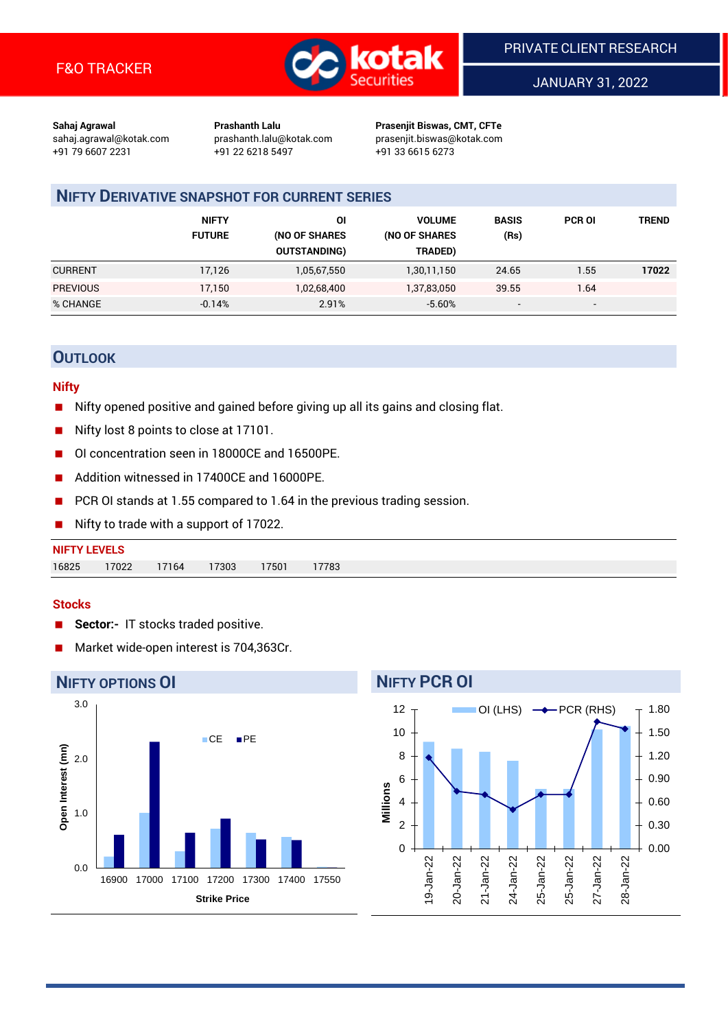

JANUARY 31, 2022

**Sahaj Agrawal Prashanth Lalu Prasenjit Biswas, CMT, CFTe** +91 79 6607 2231 +91 22 6218 5497 +91 33 6615 6273

sahaj.agrawal@kotak.com [prashanth.lalu@kotak.com](mailto:prashanth.lalu@kotak.com) prasenjit.biswas@kotak.com

# **NIFTY DERIVATIVE SNAPSHOT FOR CURRENT SERIES**

|                 | <b>NIFTY</b><br><b>FUTURE</b> | ΟI<br>(NO OF SHARES<br><b>OUTSTANDING)</b> | <b>VOLUME</b><br>(NO OF SHARES<br>TRADED) | <b>BASIS</b><br>(Rs)     | <b>PCR OI</b>            | TREND |
|-----------------|-------------------------------|--------------------------------------------|-------------------------------------------|--------------------------|--------------------------|-------|
| <b>CURRENT</b>  | 17,126                        | 1,05,67,550                                | 1,30,11,150                               | 24.65                    | 1.55                     | 17022 |
| <b>PREVIOUS</b> | 17,150                        | 1,02,68,400                                | 1,37,83,050                               | 39.55                    | 1.64                     |       |
| % CHANGE        | $-0.14%$                      | 2.91%                                      | $-5.60%$                                  | $\overline{\phantom{0}}$ | $\overline{\phantom{0}}$ |       |

## **OUTLOOK**

## **Nifty**

- Nifty opened positive and gained before giving up all its gains and closing flat.
- Nifty lost 8 points to close at 17101.
- OI concentration seen in 18000CE and 16500PE.
- Addition witnessed in 17400CE and 16000PE.
- PCR OI stands at 1.55 compared to 1.64 in the previous trading session.
- Nifty to trade with a support of 17022.

## **Stocks**

- **Sector:-** IT stocks traded positive.
- Market wide-open interest is 704,363Cr.

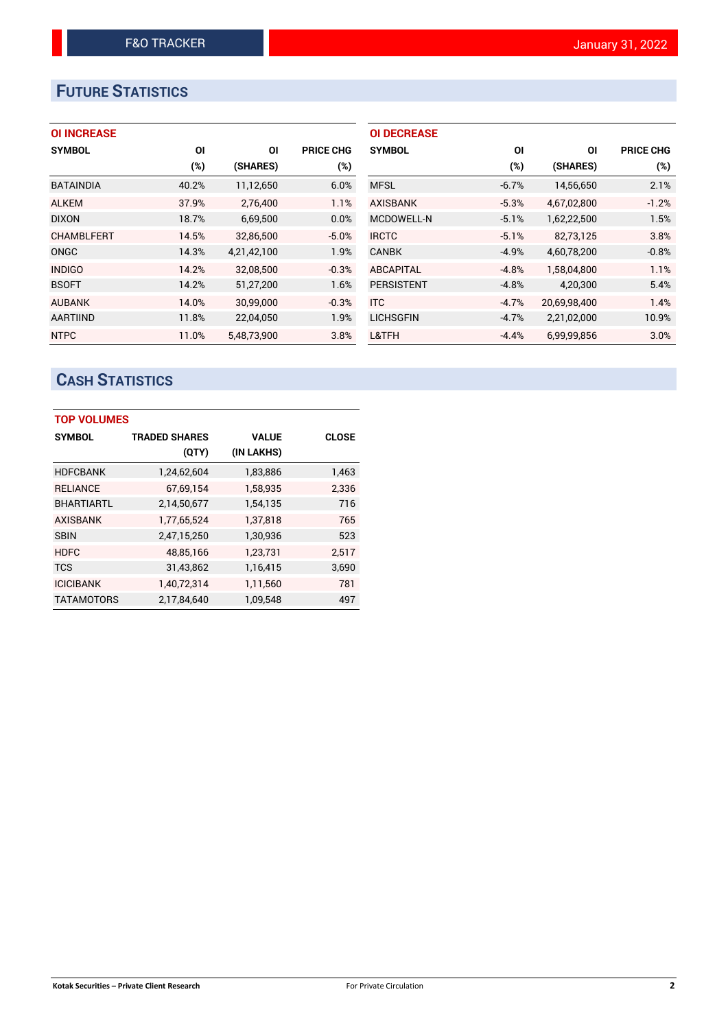# **FUTURE STATISTICS**

## **OI INCREASE**

| <b>SYMBOL</b>     | ΟI    | ΟI          | <b>PRICE CHG</b> |
|-------------------|-------|-------------|------------------|
|                   | (%)   | (SHARES)    | (%)              |
| <b>BATAINDIA</b>  | 40.2% | 11,12,650   | 6.0%             |
| <b>ALKEM</b>      | 37.9% | 2,76,400    | 1.1%             |
| <b>DIXON</b>      | 18.7% | 6,69,500    | 0.0%             |
| <b>CHAMBLFERT</b> | 14.5% | 32.86.500   | $-5.0%$          |
| ONGC              | 14.3% | 4,21,42,100 | 1.9%             |
| <b>INDIGO</b>     | 14.2% | 32.08.500   | $-0.3%$          |
| <b>BSOFT</b>      | 14.2% | 51,27,200   | 1.6%             |
| <b>AUBANK</b>     | 14.0% | 30,99,000   | $-0.3%$          |
| <b>AARTIIND</b>   | 11.8% | 22,04,050   | 1.9%             |
| <b>NTPC</b>       | 11.0% | 5.48.73.900 | 3.8%             |

| <b>OI DECREASE</b> |         |              |                  |
|--------------------|---------|--------------|------------------|
| <b>SYMBOL</b>      | ΟI      | ΟI           | <b>PRICE CHG</b> |
|                    | (%)     | (SHARES)     | (%)              |
| <b>MFSL</b>        | $-6.7%$ | 14,56,650    | 2.1%             |
| <b>AXISBANK</b>    | $-5.3%$ | 4,67,02,800  | $-1.2%$          |
| <b>MCDOWELL-N</b>  | $-5.1%$ | 1,62,22,500  | 1.5%             |
| <b>IRCTC</b>       | $-5.1%$ | 82,73,125    | 3.8%             |
| <b>CANBK</b>       | $-4.9%$ | 4,60,78,200  | $-0.8%$          |
| <b>ABCAPITAL</b>   | $-4.8%$ | 1,58,04,800  | 1.1%             |
| <b>PERSISTENT</b>  | $-4.8%$ | 4,20,300     | 5.4%             |
| <b>ITC</b>         | $-4.7%$ | 20,69,98,400 | 1.4%             |
| <b>LICHSGFIN</b>   | $-4.7%$ | 2,21,02,000  | 10.9%            |
| L&TFH              | $-4.4%$ | 6,99,99,856  | 3.0%             |

# **CASH STATISTICS**

| <b>TOP VOLUMES</b> |                      |              |              |  |  |  |  |
|--------------------|----------------------|--------------|--------------|--|--|--|--|
| <b>SYMBOL</b>      | <b>TRADED SHARES</b> | <b>VALUE</b> | <b>CLOSE</b> |  |  |  |  |
|                    | (QTY)                | (IN LAKHS)   |              |  |  |  |  |
| <b>HDFCBANK</b>    | 1,24,62,604          | 1,83,886     | 1,463        |  |  |  |  |
| <b>RELIANCE</b>    | 67,69,154            | 1,58,935     | 2,336        |  |  |  |  |
| <b>BHARTIARTL</b>  | 2,14,50,677          | 1,54,135     | 716          |  |  |  |  |
| <b>AXISBANK</b>    | 1,77,65,524          | 1,37,818     | 765          |  |  |  |  |
| <b>SBIN</b>        | 2,47,15,250          | 1,30,936     | 523          |  |  |  |  |
| <b>HDFC</b>        | 48,85,166            | 1,23,731     | 2,517        |  |  |  |  |
| <b>TCS</b>         | 31,43,862            | 1,16,415     | 3,690        |  |  |  |  |
| <b>ICICIBANK</b>   | 1,40,72,314          | 1,11,560     | 781          |  |  |  |  |
| <b>TATAMOTORS</b>  | 2,17,84,640          | 1.09.548     | 497          |  |  |  |  |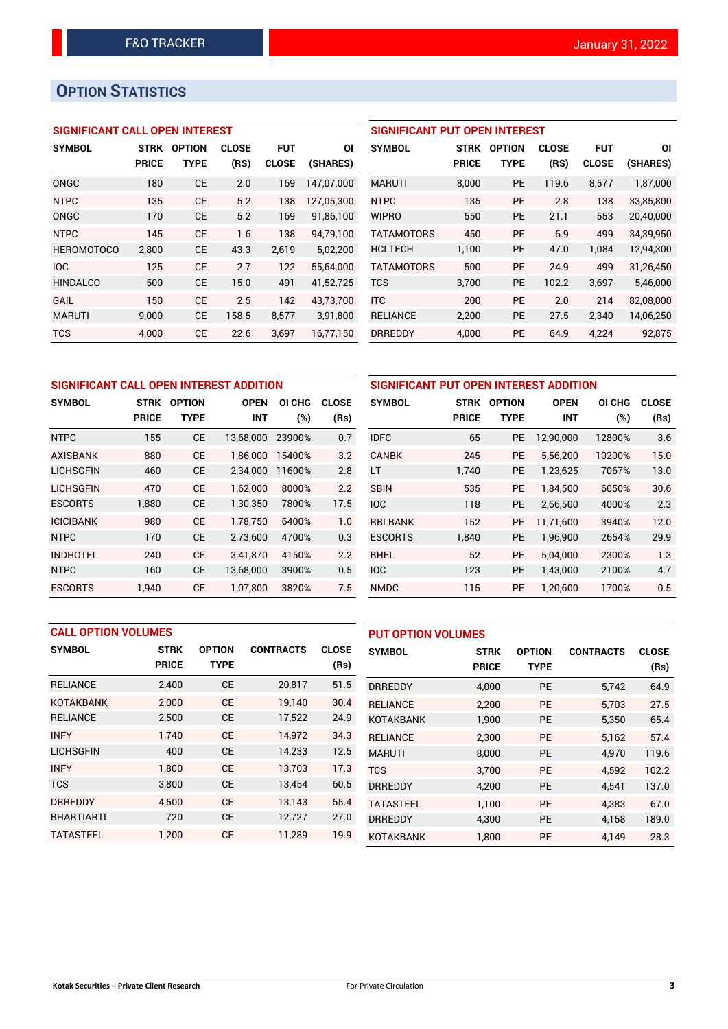# **OPTION STATISTICS**

## **SIGNIFICANT CALL OPEN INTEREST**

| <b>SYMBOL</b>     | <b>STRK</b><br><b>PRICE</b> | <b>OPTION</b><br>TYPE | <b>CLOSE</b><br>(RS) | FUT<br><b>CLOSE</b> | ΟI<br>(SHARES) |
|-------------------|-----------------------------|-----------------------|----------------------|---------------------|----------------|
|                   |                             |                       |                      |                     |                |
| ONGC              | 180                         | <b>CE</b>             | 2.0                  | 169                 | 147.07.000     |
| <b>NTPC</b>       | 135                         | <b>CE</b>             | 5.2                  | 138                 | 127,05,300     |
| ONGC              | 170                         | <b>CE</b>             | 5.2                  | 169                 | 91,86,100      |
| <b>NTPC</b>       | 145                         | <b>CE</b>             | 1.6                  | 138                 | 94,79,100      |
| <b>HEROMOTOCO</b> | 2,800                       | <b>CE</b>             | 43.3                 | 2,619               | 5,02,200       |
| <b>IOC</b>        | 125                         | <b>CE</b>             | 2.7                  | 122                 | 55,64,000      |
| <b>HINDALCO</b>   | 500                         | <b>CE</b>             | 15.0                 | 491                 | 41,52,725      |
| GAIL              | 150                         | CF                    | 2.5                  | 142                 | 43,73,700      |
| <b>MARUTI</b>     | 9,000                       | <b>CE</b>             | 158.5                | 8,577               | 3,91,800       |
| TCS               | 4,000                       | <b>CE</b>             | 22.6                 | 3,697               | 16,77,150      |

| <b>SIGNIFICANT PUT OPEN INTEREST</b> |             |               |              |              |           |  |  |  |
|--------------------------------------|-------------|---------------|--------------|--------------|-----------|--|--|--|
| <b>SYMBOL</b>                        | <b>STRK</b> | <b>OPTION</b> | <b>CLOSE</b> | <b>FUT</b>   | ΟI        |  |  |  |
|                                      | PRICE       | <b>TYPE</b>   | (RS)         | <b>CLOSE</b> | (SHARES)  |  |  |  |
| <b>MARUTI</b>                        | 8,000       | <b>PE</b>     | 119.6        | 8,577        | 1,87,000  |  |  |  |
| <b>NTPC</b>                          | 135         | <b>PE</b>     | 2.8          | 138          | 33,85,800 |  |  |  |
| <b>WIPRO</b>                         | 550         | <b>PE</b>     | 21.1         | 553          | 20,40,000 |  |  |  |
| <b>TATAMOTORS</b>                    | 450         | <b>PE</b>     | 6.9          | 499          | 34,39,950 |  |  |  |
| <b>HCLTECH</b>                       | 1,100       | PE            | 47.0         | 1,084        | 12,94,300 |  |  |  |
| <b>TATAMOTORS</b>                    | 500         | <b>PE</b>     | 24.9         | 499          | 31,26,450 |  |  |  |
| <b>TCS</b>                           | 3,700       | <b>PE</b>     | 102.2        | 3,697        | 5,46,000  |  |  |  |
| <b>ITC</b>                           | 200         | <b>PE</b>     | 2.0          | 214          | 82,08,000 |  |  |  |
| <b>RELIANCE</b>                      | 2,200       | <b>PE</b>     | 27.5         | 2,340        | 14,06,250 |  |  |  |
| <b>DRREDDY</b>                       | 4.000       | <b>PE</b>     | 64.9         | 4.224        | 92.875    |  |  |  |

| SIGNIFICANT CALL OPEN INTEREST ADDITION |              |               |                       |        |              |             |  |  |
|-----------------------------------------|--------------|---------------|-----------------------|--------|--------------|-------------|--|--|
| <b>SYMBOL</b>                           | <b>STRK</b>  | <b>OPTION</b> | OI CHG<br><b>OPEN</b> |        | <b>CLOSE</b> | <b>SYM</b>  |  |  |
|                                         | <b>PRICE</b> | TYPE          | <b>INT</b>            | $(\%)$ | (Rs)         |             |  |  |
| <b>NTPC</b>                             | 155          | <b>CE</b>     | 13,68,000             | 23900% | 0.7          | <b>IDFC</b> |  |  |
| <b>AXISBANK</b>                         | 880          | <b>CE</b>     | 1,86,000              | 15400% | 3.2          | CANI        |  |  |
| <b>LICHSGFIN</b>                        | 460          | <b>CE</b>     | 2,34,000              | 11600% | 2.8          | LT          |  |  |
| <b>LICHSGFIN</b>                        | 470          | <b>CE</b>     | 1.62.000              | 8000%  | 2.2          | <b>SBIN</b> |  |  |
| <b>ESCORTS</b>                          | 1,880        | <b>CE</b>     | 1,30,350              | 7800%  | 17.5         | <b>IOC</b>  |  |  |
| <b>ICICIBANK</b>                        | 980          | <b>CE</b>     | 1,78,750              | 6400%  | 1.0          | <b>RBLE</b> |  |  |
| <b>NTPC</b>                             | 170          | <b>CE</b>     | 2,73,600              | 4700%  | 0.3          | <b>ESCO</b> |  |  |
| <b>INDHOTEL</b>                         | 240          | <b>CE</b>     | 3,41,870              | 4150%  | 2.2          | <b>BHEI</b> |  |  |
| <b>NTPC</b>                             | 160          | <b>CE</b>     | 13,68,000             | 3900%  | 0.5          | <b>IOC</b>  |  |  |
| <b>ESCORTS</b>                          | 1.940        | <b>CE</b>     | 1.07.800              | 3820%  | 7.5          | <b>NMD</b>  |  |  |

| SIGNIFICANT PUT OPEN INTEREST ADDITION |                                                       |             |              |        |      |  |  |  |
|----------------------------------------|-------------------------------------------------------|-------------|--------------|--------|------|--|--|--|
| <b>SYMBOL</b>                          | <b>OPTION</b><br><b>OPEN</b><br><b>STRK</b><br>OI CHG |             | <b>CLOSE</b> |        |      |  |  |  |
|                                        | <b>PRICE</b>                                          | <b>TYPE</b> | <b>INT</b>   | (%)    | (Rs) |  |  |  |
| <b>IDFC</b>                            | 65                                                    | <b>PE</b>   | 12,90,000    | 12800% | 3.6  |  |  |  |
| <b>CANBK</b>                           | 245                                                   | <b>PE</b>   | 5,56,200     | 10200% | 15.0 |  |  |  |
| LT                                     | 1,740                                                 | <b>PE</b>   | 1,23,625     | 7067%  | 13.0 |  |  |  |
| <b>SBIN</b>                            | 535                                                   | <b>PE</b>   | 1.84.500     | 6050%  | 30.6 |  |  |  |
| <b>IOC</b>                             | 118                                                   | <b>PE</b>   | 2,66,500     | 4000%  | 2.3  |  |  |  |
| <b>RBLBANK</b>                         | 152                                                   | <b>PE</b>   | 11,71,600    | 3940%  | 12.0 |  |  |  |
| <b>ESCORTS</b>                         | 1,840                                                 | <b>PE</b>   | 1,96,900     | 2654%  | 29.9 |  |  |  |
| <b>BHEL</b>                            | 52                                                    | <b>PE</b>   | 5,04,000     | 2300%  | 1.3  |  |  |  |
| <b>IOC</b>                             | 123                                                   | <b>PE</b>   | 1,43,000     | 2100%  | 4.7  |  |  |  |
| <b>NMDC</b>                            | 115                                                   | <b>PE</b>   | 1,20,600     | 1700%  | 0.5  |  |  |  |

| <b>CALL OPTION VOLUMES</b> |              |               |                  | <b>PUT OPTION VOLUMES</b> |                  |              |               |                  |              |
|----------------------------|--------------|---------------|------------------|---------------------------|------------------|--------------|---------------|------------------|--------------|
| <b>SYMBOL</b>              | <b>STRK</b>  | <b>OPTION</b> | <b>CONTRACTS</b> | <b>CLOSE</b>              | <b>SYMBOL</b>    | <b>STRK</b>  | <b>OPTION</b> | <b>CONTRACTS</b> | <b>CLOSE</b> |
|                            | <b>PRICE</b> | <b>TYPE</b>   |                  | (Rs)                      |                  | <b>PRICE</b> | <b>TYPE</b>   |                  | (Rs)         |
| <b>RELIANCE</b>            | 2,400        | <b>CE</b>     | 20,817           | 51.5                      | <b>DRREDDY</b>   | 4,000        | <b>PE</b>     | 5,742            | 64.9         |
| <b>KOTAKBANK</b>           | 2.000        | <b>CE</b>     | 19.140           | 30.4                      | <b>RELIANCE</b>  | 2,200        | <b>PE</b>     | 5.703            | 27.5         |
| <b>RELIANCE</b>            | 2,500        | <b>CE</b>     | 17,522           | 24.9                      | <b>KOTAKBANK</b> | 1,900        | PE            | 5,350            | 65.4         |
| <b>INFY</b>                | 1.740        | <b>CE</b>     | 14.972           | 34.3                      | <b>RELIANCE</b>  | 2.300        | <b>PE</b>     | 5.162            | 57.4         |
| <b>LICHSGFIN</b>           | 400          | <b>CE</b>     | 14,233           | 12.5                      | <b>MARUTI</b>    | 8,000        | <b>PE</b>     | 4.970            | 119.6        |
| <b>INFY</b>                | 1.800        | <b>CE</b>     | 13.703           | 17.3                      | <b>TCS</b>       | 3.700        | <b>PE</b>     | 4.592            | 102.2        |
| <b>TCS</b>                 | 3,800        | <b>CE</b>     | 13,454           | 60.5                      | <b>DRREDDY</b>   | 4,200        | <b>PE</b>     | 4,541            | 137.0        |
| <b>DRREDDY</b>             | 4.500        | <b>CE</b>     | 13.143           | 55.4                      | <b>TATASTEEL</b> | 1.100        | <b>PE</b>     | 4.383            | 67.0         |
| <b>BHARTIARTL</b>          | 720          | <b>CE</b>     | 12,727           | 27.0                      | <b>DRREDDY</b>   | 4,300        | <b>PE</b>     | 4,158            | 189.0        |
| <b>TATASTEEL</b>           | 1,200        | <b>CE</b>     | 11,289           | 19.9                      | <b>KOTAKBANK</b> | 1.800        | PE            | 4,149            | 28.3         |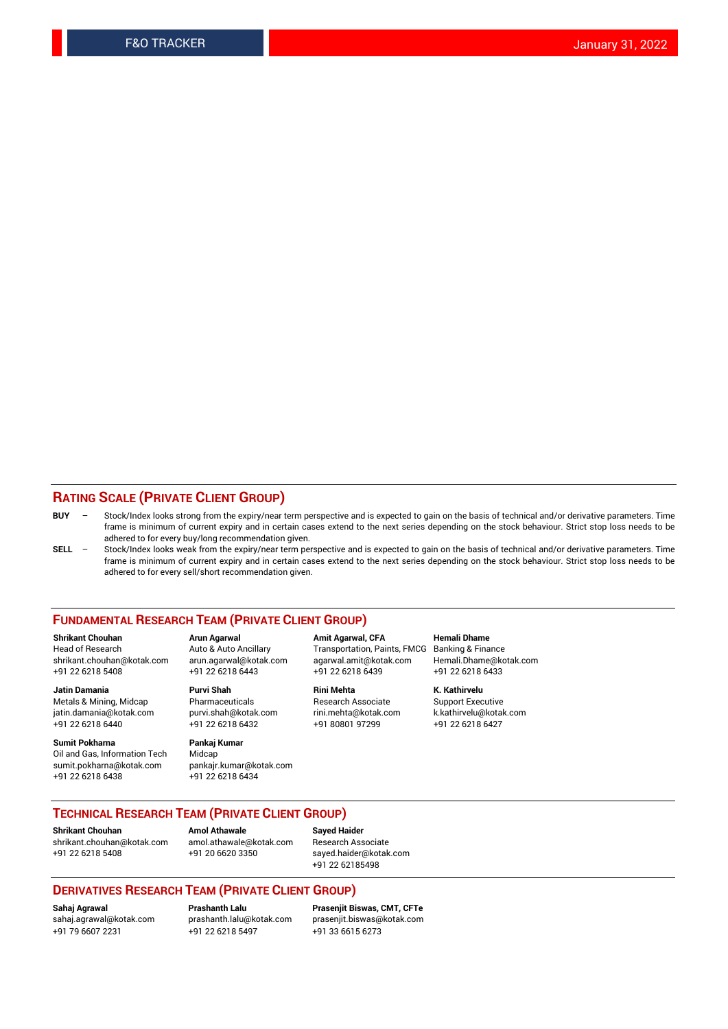## **RATING SCALE (PRIVATE CLIENT GROUP)**

- **BUY**  Stock/Index looks strong from the expiry/near term perspective and is expected to gain on the basis of technical and/or derivative parameters. Time frame is minimum of current expiry and in certain cases extend to the next series depending on the stock behaviour. Strict stop loss needs to be adhered to for every buy/long recommendation given.
- **SELL** Stock/Index looks weak from the expiry/near term perspective and is expected to gain on the basis of technical and/or derivative parameters. Time frame is minimum of current expiry and in certain cases extend to the next series depending on the stock behaviour. Strict stop loss needs to be adhered to for every sell/short recommendation given.

### **FUNDAMENTAL RESEARCH TEAM (PRIVATE CLIENT GROUP)**

**Shrikant Chouhan Arun Agarwal Amit Agarwal, CFA Hemali Dhame** shrikant.chouhan@kotak.com arun.agarwal@kotak.com agarwal.amit@kotak.com Hemali.Dhame@kotak.com +91 22 6218 5408 +91 22 6218 6443 +91 22 6218 6439 +91 22 6218 6433

Metals & Mining, Midcap Pharmaceuticals Research Associate Support Executive<br>
iatin.damania@kotak.com purvi.shah@kotak.com rini.mehta@kotak.com k.kathirvelu@kotak.com jatin.damania@kotak.com +91 22 6218 6440 +91 22 6218 6432 +91 80801 97299 +91 22 6218 6427

**Sumit Pokharna** Pankaj Kumar<br>Oil and Gas, Information Tech Midcap Oil and Gas, Information Tech sumit.pokharna@kotak.com pankajr.kumar@kotak.com +91 22 6218 6438 +91 22 6218 6434

**Jatin Damania Purvi Shah Rini Mehta K. Kathirvelu**

Transportation, Paints, FMCG Banking & Finance

## **TECHNICAL RESEARCH TEAM (PRIVATE CLIENT GROUP) Shrikant Chouhan Amol Athawale Sayed Haider**

[shrikant.chouhan@kotak.com](mailto:shrikant.chouhan@kotak.com) [amol.athawale@kotak.com](mailto:amol.athawale@kotak.com) Research Associate +91 22 6218 5408 +91 20 6620 3350 [sayed.haider@kotak.com](mailto:sayed.haider@kotak.com)

+91 22 62185498

### **DERIVATIVES RESEARCH TEAM (PRIVATE CLIENT GROUP)**

+91 79 6607 2231 +91 22 6218 5497 +91 33 6615 6273

**Sahaj Agrawal Prashanth Lalu Prasenjit Biswas, CMT, CFTe** [prasenjit.biswas@kotak.com](mailto:prasenjit.biswas@kotak.com)